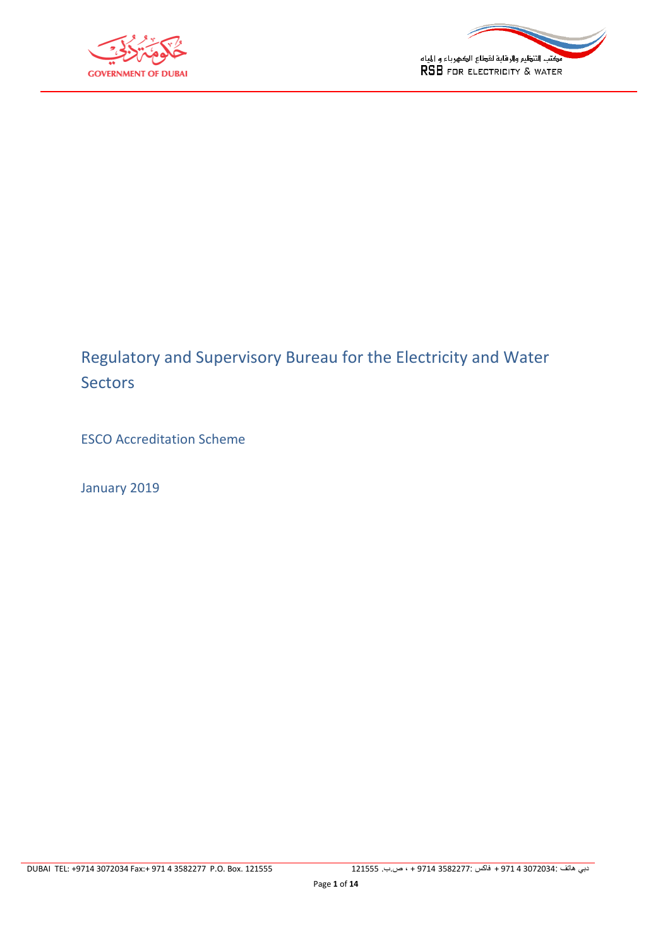



# Regulatory and Supervisory Bureau for the Electricity and Water **Sectors**

ESCO Accreditation Scheme

January 2019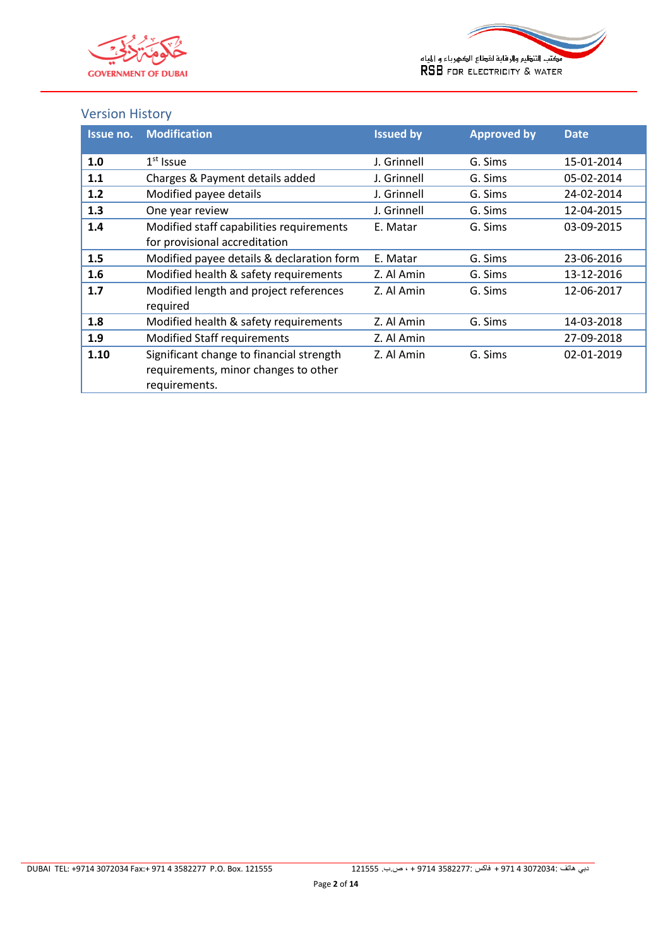



## <span id="page-1-0"></span>Version History

| Issue no. | <b>Modification</b>                       | <b>Issued by</b> | <b>Approved by</b> | <b>Date</b> |
|-----------|-------------------------------------------|------------------|--------------------|-------------|
|           |                                           |                  |                    |             |
| 1.0       | $1st$ Issue                               | J. Grinnell      | G. Sims            | 15-01-2014  |
| 1.1       | Charges & Payment details added           | J. Grinnell      | G. Sims            | 05-02-2014  |
| 1.2       | Modified payee details                    | J. Grinnell      | G. Sims            | 24-02-2014  |
| 1.3       | One year review                           | J. Grinnell      | G. Sims            | 12-04-2015  |
| 1.4       | Modified staff capabilities requirements  | E. Matar         | G. Sims            | 03-09-2015  |
|           | for provisional accreditation             |                  |                    |             |
| 1.5       | Modified payee details & declaration form | E. Matar         | G. Sims            | 23-06-2016  |
| 1.6       | Modified health & safety requirements     | Z. Al Amin       | G. Sims            | 13-12-2016  |
| 1.7       | Modified length and project references    | Z. Al Amin       | G. Sims            | 12-06-2017  |
|           | required                                  |                  |                    |             |
| 1.8       | Modified health & safety requirements     | Z. Al Amin       | G. Sims            | 14-03-2018  |
| 1.9       | <b>Modified Staff requirements</b>        | Z. Al Amin       |                    | 27-09-2018  |
| 1.10      | Significant change to financial strength  | Z. Al Amin       | G. Sims            | 02-01-2019  |
|           | requirements, minor changes to other      |                  |                    |             |
|           | requirements.                             |                  |                    |             |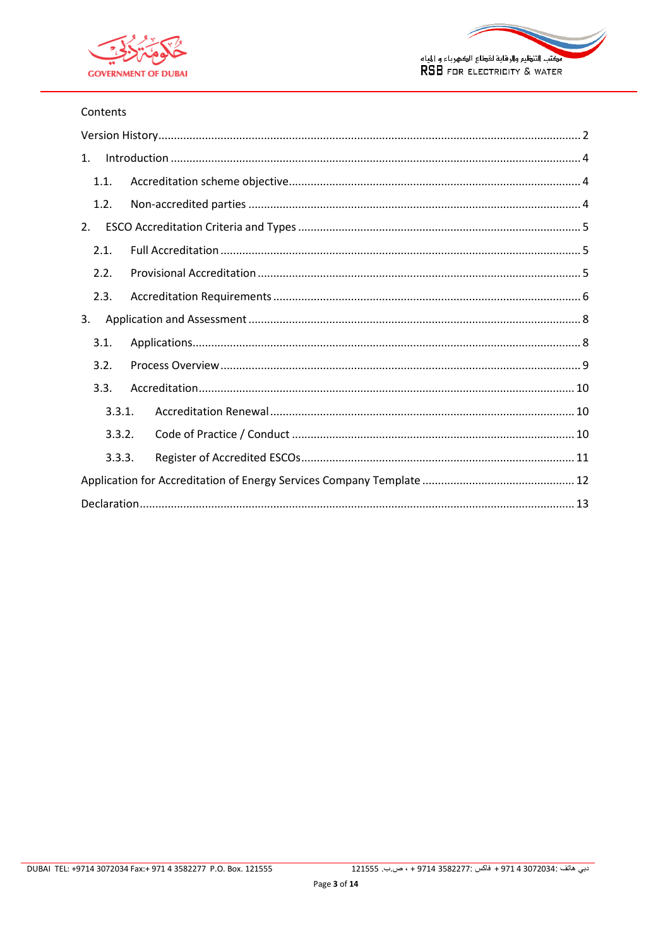



#### Contents

| 1.     |  |  |
|--------|--|--|
| 1.1.   |  |  |
| 1.2.   |  |  |
| 2.     |  |  |
| 2.1.   |  |  |
| 2.2.   |  |  |
| 2.3.   |  |  |
| 3.     |  |  |
| 3.1.   |  |  |
| 3.2.   |  |  |
| 3.3.   |  |  |
| 3.3.1. |  |  |
| 3.3.2. |  |  |
| 3.3.3. |  |  |
|        |  |  |
|        |  |  |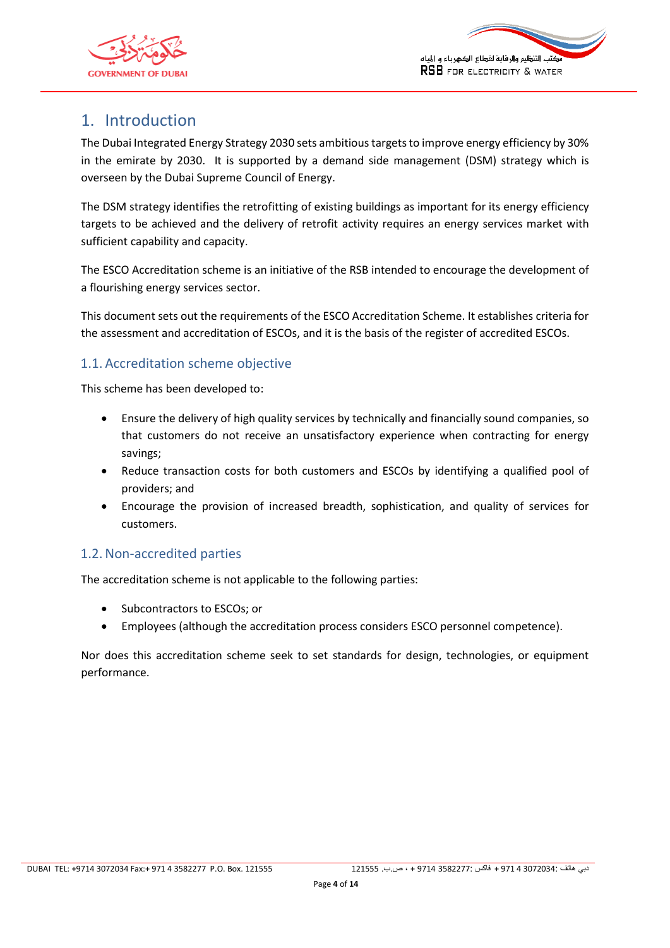



## <span id="page-3-0"></span>1. Introduction

The Dubai Integrated Energy Strategy 2030 sets ambitious targets to improve energy efficiency by 30% in the emirate by 2030. It is supported by a demand side management (DSM) strategy which is overseen by the Dubai Supreme Council of Energy.

The DSM strategy identifies the retrofitting of existing buildings as important for its energy efficiency targets to be achieved and the delivery of retrofit activity requires an energy services market with sufficient capability and capacity.

The ESCO Accreditation scheme is an initiative of the RSB intended to encourage the development of a flourishing energy services sector.

This document sets out the requirements of the ESCO Accreditation Scheme. It establishes criteria for the assessment and accreditation of ESCOs, and it is the basis of the register of accredited ESCOs.

#### <span id="page-3-1"></span>1.1. Accreditation scheme objective

This scheme has been developed to:

- Ensure the delivery of high quality services by technically and financially sound companies, so that customers do not receive an unsatisfactory experience when contracting for energy savings;
- Reduce transaction costs for both customers and ESCOs by identifying a qualified pool of providers; and
- Encourage the provision of increased breadth, sophistication, and quality of services for customers.

## <span id="page-3-2"></span>1.2.Non-accredited parties

The accreditation scheme is not applicable to the following parties:

- Subcontractors to ESCOs; or
- Employees (although the accreditation process considers ESCO personnel competence).

Nor does this accreditation scheme seek to set standards for design, technologies, or equipment performance.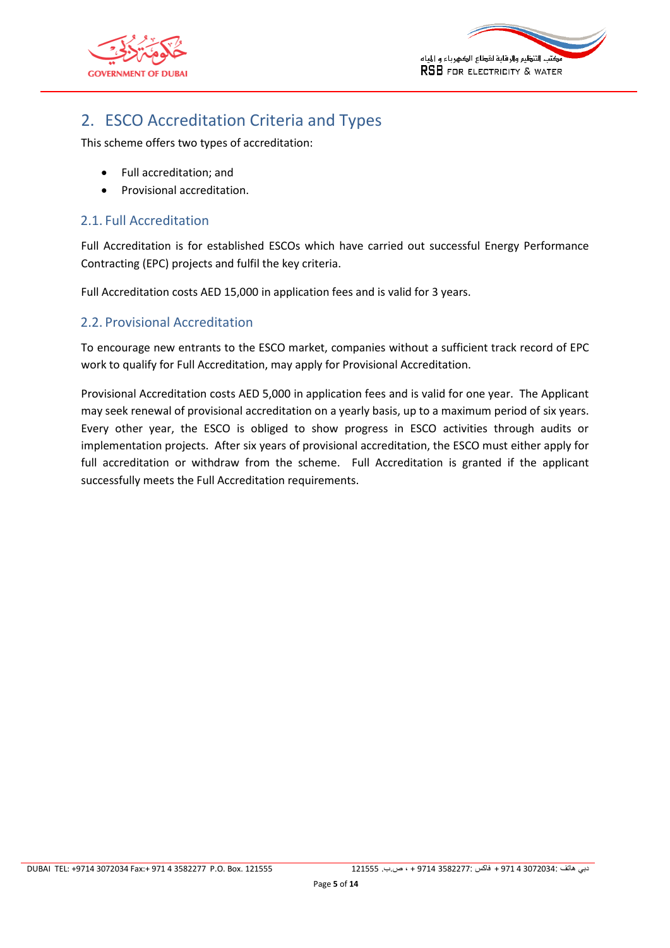<span id="page-4-3"></span>



## <span id="page-4-0"></span>2. ESCO Accreditation Criteria and Types

This scheme offers two types of accreditation:

- Full accreditation; and
- Provisional accreditation.

## <span id="page-4-1"></span>2.1. Full Accreditation

Full Accreditation is for established ESCOs which have carried out successful Energy Performance Contracting (EPC) projects and fulfil the key criteria.

Full Accreditation costs AED 15,000 in application fees and is valid for 3 years.

## <span id="page-4-2"></span>2.2. Provisional Accreditation

To encourage new entrants to the ESCO market, companies without a sufficient track record of EPC work to qualify for Full Accreditation, may apply for Provisional Accreditation.

Provisional Accreditation costs AED 5,000 in application fees and is valid for one year. The Applicant may seek renewal of provisional accreditation on a yearly basis, up to a maximum period of six years. Every other year, the ESCO is obliged to show progress in ESCO activities through audits or implementation projects. After six years of provisional accreditation, the ESCO must either apply for full accreditation or withdraw from the scheme. Full Accreditation is granted if the applicant successfully meets the Full Accreditation requirements.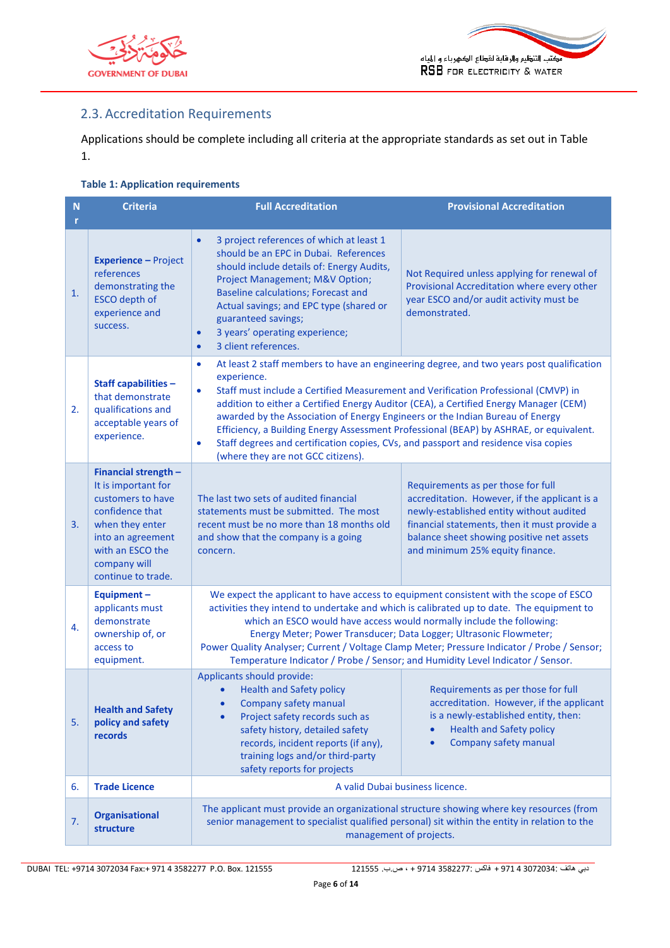



## <span id="page-5-0"></span>2.3. Accreditation Requirements

<span id="page-5-2"></span>Applications should be complete including all criteria at the appropriate standards as set out in [Table](#page-5-1)  [1.](#page-5-1)

#### <span id="page-5-1"></span>**Table 1: Application requirements**

| $\mathbf N$<br>r | <b>Criteria</b>                                                                                                                                                                       | <b>Full Accreditation</b>                                                                                                                                                                                                                                                                                                                                                                                                                                                                                                                                                                                                             | <b>Provisional Accreditation</b>                                                                                                                                                                                                                                |  |  |  |
|------------------|---------------------------------------------------------------------------------------------------------------------------------------------------------------------------------------|---------------------------------------------------------------------------------------------------------------------------------------------------------------------------------------------------------------------------------------------------------------------------------------------------------------------------------------------------------------------------------------------------------------------------------------------------------------------------------------------------------------------------------------------------------------------------------------------------------------------------------------|-----------------------------------------------------------------------------------------------------------------------------------------------------------------------------------------------------------------------------------------------------------------|--|--|--|
| 1.               | <b>Experience - Project</b><br>references<br>demonstrating the<br>ESCO depth of<br>experience and<br>success.                                                                         | 3 project references of which at least 1<br>$\bullet$<br>should be an EPC in Dubai. References<br>should include details of: Energy Audits,<br>Project Management; M&V Option;<br><b>Baseline calculations; Forecast and</b><br>Actual savings; and EPC type (shared or<br>guaranteed savings;<br>3 years' operating experience;<br>$\bullet$<br>3 client references.<br>$\bullet$                                                                                                                                                                                                                                                    | Not Required unless applying for renewal of<br>Provisional Accreditation where every other<br>year ESCO and/or audit activity must be<br>demonstrated.                                                                                                          |  |  |  |
| 2.               | Staff capabilities -<br>that demonstrate<br>qualifications and<br>acceptable years of<br>experience.                                                                                  | At least 2 staff members to have an engineering degree, and two years post qualification<br>$\bullet$<br>experience.<br>Staff must include a Certified Measurement and Verification Professional (CMVP) in<br>$\bullet$<br>addition to either a Certified Energy Auditor (CEA), a Certified Energy Manager (CEM)<br>awarded by the Association of Energy Engineers or the Indian Bureau of Energy<br>Efficiency, a Building Energy Assessment Professional (BEAP) by ASHRAE, or equivalent.<br>Staff degrees and certification copies, CVs, and passport and residence visa copies<br>$\bullet$<br>(where they are not GCC citizens). |                                                                                                                                                                                                                                                                 |  |  |  |
| 3.               | Financial strength -<br>It is important for<br>customers to have<br>confidence that<br>when they enter<br>into an agreement<br>with an ESCO the<br>company will<br>continue to trade. | The last two sets of audited financial<br>statements must be submitted. The most<br>recent must be no more than 18 months old<br>and show that the company is a going<br>concern.                                                                                                                                                                                                                                                                                                                                                                                                                                                     | Requirements as per those for full<br>accreditation. However, if the applicant is a<br>newly-established entity without audited<br>financial statements, then it must provide a<br>balance sheet showing positive net assets<br>and minimum 25% equity finance. |  |  |  |
| 4.               | Equipment-<br>applicants must<br>demonstrate<br>ownership of, or<br>access to<br>equipment.                                                                                           | We expect the applicant to have access to equipment consistent with the scope of ESCO<br>activities they intend to undertake and which is calibrated up to date. The equipment to<br>which an ESCO would have access would normally include the following:<br>Energy Meter; Power Transducer; Data Logger; Ultrasonic Flowmeter;<br>Power Quality Analyser; Current / Voltage Clamp Meter; Pressure Indicator / Probe / Sensor;<br>Temperature Indicator / Probe / Sensor; and Humidity Level Indicator / Sensor.                                                                                                                     |                                                                                                                                                                                                                                                                 |  |  |  |
| 5.               | <b>Health and Safety</b><br>policy and safety<br>records                                                                                                                              | Applicants should provide:<br><b>Health and Safety policy</b><br>Company safety manual<br>Project safety records such as<br>safety history, detailed safety<br>records, incident reports (if any),<br>training logs and/or third-party<br>safety reports for projects                                                                                                                                                                                                                                                                                                                                                                 | Requirements as per those for full<br>accreditation. However, if the applicant<br>is a newly-established entity, then:<br><b>Health and Safety policy</b><br>Company safety manual<br>$\bullet$                                                                 |  |  |  |
| 6.               | <b>Trade Licence</b>                                                                                                                                                                  | A valid Dubai business licence.                                                                                                                                                                                                                                                                                                                                                                                                                                                                                                                                                                                                       |                                                                                                                                                                                                                                                                 |  |  |  |
| 7.               | <b>Organisational</b><br>structure                                                                                                                                                    | The applicant must provide an organizational structure showing where key resources (from<br>senior management to specialist qualified personal) sit within the entity in relation to the<br>management of projects.                                                                                                                                                                                                                                                                                                                                                                                                                   |                                                                                                                                                                                                                                                                 |  |  |  |

DUBAI TEL: +9714 3072034 Fax:+ 971 4 3582277 P.O. Box. 121555 121555 .ب.ص ، + 9714 3582277: فاكس + 971 4 3072034: هاتف دبي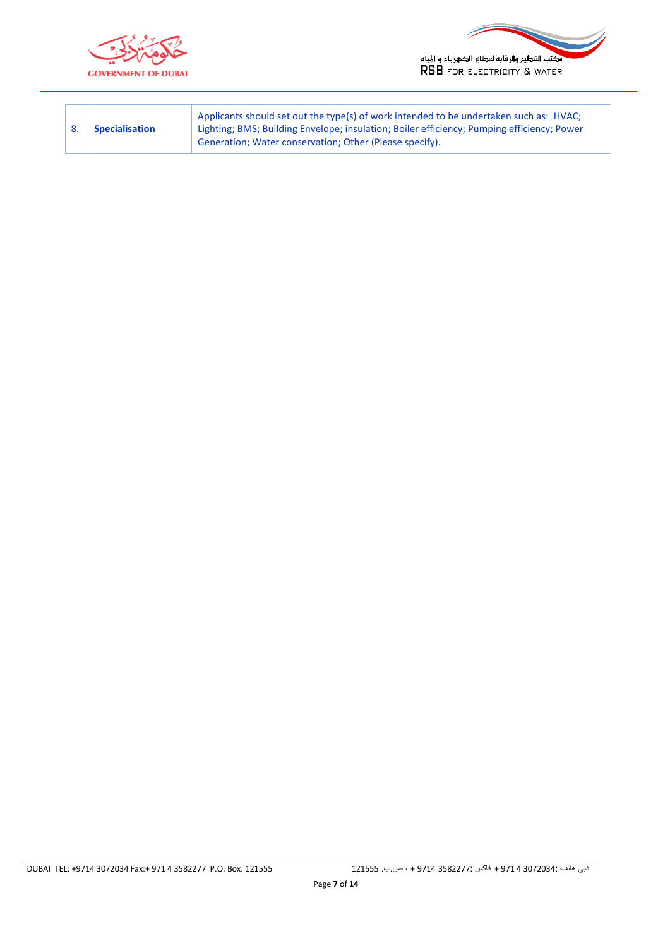



|  | <b>Specialisation</b> | Applicants should set out the type(s) of work intended to be undertaken such as: HVAC;<br>Lighting; BMS; Building Envelope; insulation; Boiler efficiency; Pumping efficiency; Power<br>Generation; Water conservation; Other (Please specify). |
|--|-----------------------|-------------------------------------------------------------------------------------------------------------------------------------------------------------------------------------------------------------------------------------------------|
|--|-----------------------|-------------------------------------------------------------------------------------------------------------------------------------------------------------------------------------------------------------------------------------------------|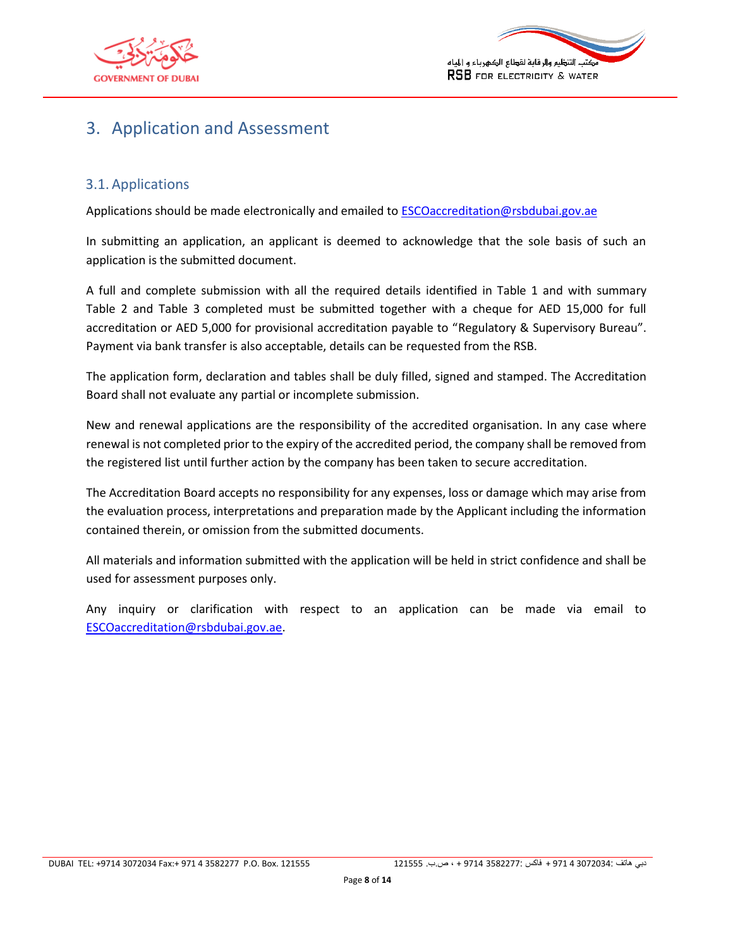



## 3. Application and Assessment

## <span id="page-7-0"></span>3.1. Applications

Applications should be made electronically and emailed to **ESCOaccreditation@rsbdubai.gov.ae** 

<span id="page-7-1"></span>In submitting an application, an applicant is deemed to acknowledge that the sole basis of such an application is the submitted document.

A full and complete submission with all the required details identified in [Table 1](#page-5-2) and with summary Table 2 and Table 3 completed must be submitted together with a cheque for AED 15,000 for full accreditation or AED 5,000 for provisional accreditation payable to "Regulatory & Supervisory Bureau". Payment via bank transfer is also acceptable, details can be requested from the RSB.

The application form, declaration and tables shall be duly filled, signed and stamped. The Accreditation Board shall not evaluate any partial or incomplete submission.

New and renewal applications are the responsibility of the accredited organisation. In any case where renewal is not completed prior to the expiry of the accredited period, the company shall be removed from the registered list until further action by the company has been taken to secure accreditation.

The Accreditation Board accepts no responsibility for any expenses, loss or damage which may arise from the evaluation process, interpretations and preparation made by the Applicant including the information contained therein, or omission from the submitted documents.

All materials and information submitted with the application will be held in strict confidence and shall be used for assessment purposes only.

Any inquiry or clarification with respect to an application can be made via email to [ESCOaccreditation@rsbdubai.gov.ae.](mailto:ESCOaccreditation@rsbdubai.gov.ae)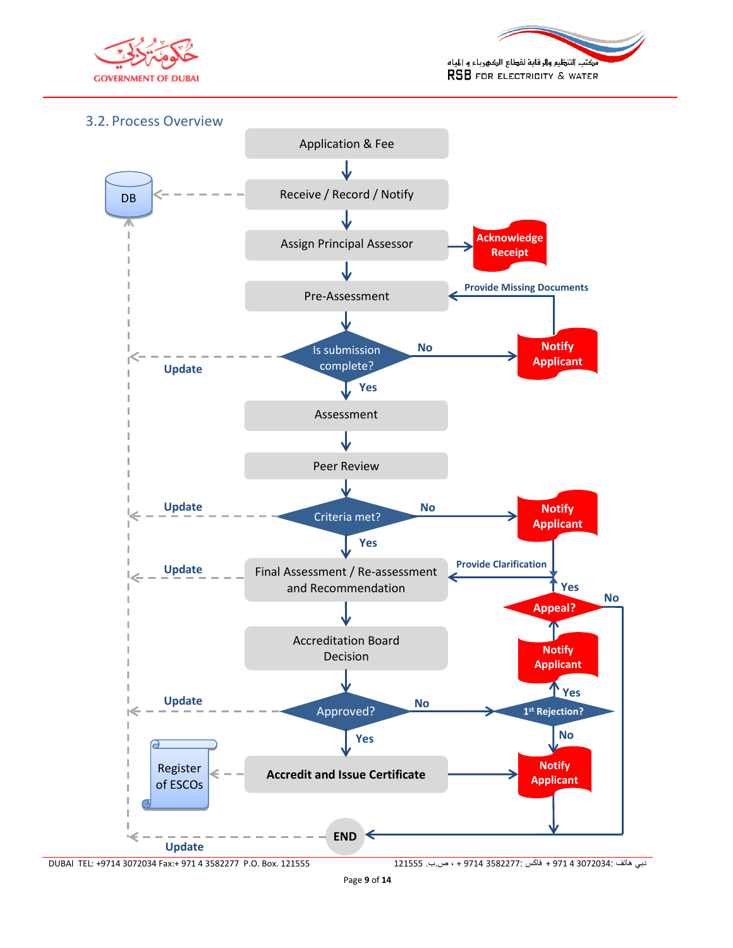



#### <span id="page-8-0"></span>3.2. Process Overview

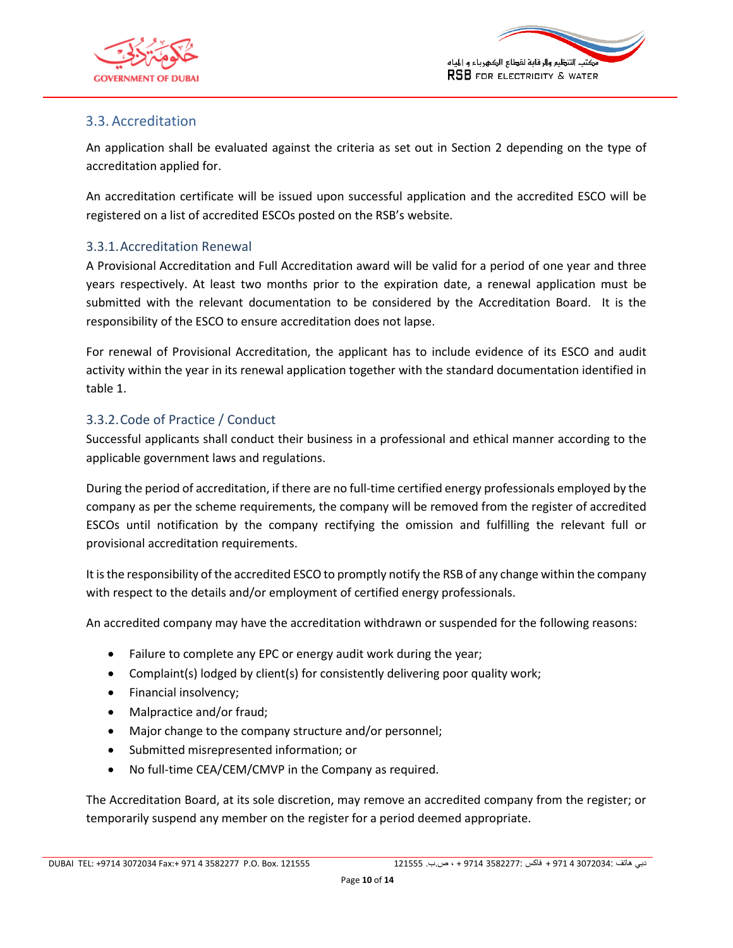



## 3.3. Accreditation

An application shall be evaluated against the criteria as set out in Section [2](#page-4-3) depending on the type of accreditation applied for.

<span id="page-9-0"></span>An accreditation certificate will be issued upon successful application and the accredited ESCO will be registered on a list of accredited ESCOs posted on the RSB's website.

#### 3.3.1.Accreditation Renewal

<span id="page-9-1"></span>A Provisional Accreditation and Full Accreditation award will be valid for a period of one year and three years respectively. At least two months prior to the expiration date, a renewal application must be submitted with the relevant documentation to be considered by the Accreditation Board. It is the responsibility of the ESCO to ensure accreditation does not lapse.

For renewal of Provisional Accreditation, the applicant has to include evidence of its ESCO and audit activity within the year in its renewal application together with the standard documentation identified in table 1.

#### 3.3.2.Code of Practice / Conduct

Successful applicants shall conduct their business in a professional and ethical manner according to the applicable government laws and regulations.

<span id="page-9-2"></span>During the period of accreditation, if there are no full-time certified energy professionals employed by the company as per the scheme requirements, the company will be removed from the register of accredited ESCOs until notification by the company rectifying the omission and fulfilling the relevant full or provisional accreditation requirements.

It is the responsibility of the accredited ESCO to promptly notify the RSB of any change within the company with respect to the details and/or employment of certified energy professionals.

An accredited company may have the accreditation withdrawn or suspended for the following reasons:

- Failure to complete any EPC or energy audit work during the year;
- Complaint(s) lodged by client(s) for consistently delivering poor quality work;
- Financial insolvency;
- Malpractice and/or fraud;
- Major change to the company structure and/or personnel;
- Submitted misrepresented information; or
- No full-time CEA/CEM/CMVP in the Company as required.

The Accreditation Board, at its sole discretion, may remove an accredited company from the register; or temporarily suspend any member on the register for a period deemed appropriate.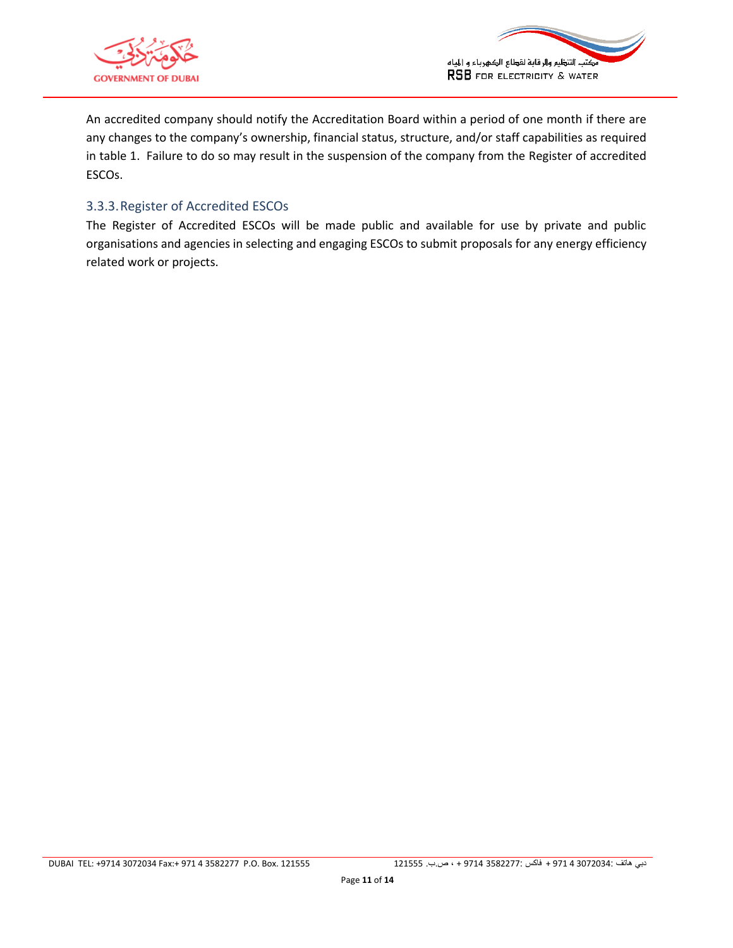



An accredited company should notify the Accreditation Board within a period of one month if there are any changes to the company's ownership, financial status, structure, and/or staff capabilities as required in table 1. Failure to do so may result in the suspension of the company from the Register of accredited ESCOs.

### 3.3.3.Register of Accredited ESCOs

<span id="page-10-0"></span>The Register of Accredited ESCOs will be made public and available for use by private and public organisations and agencies in selecting and engaging ESCOs to submit proposals for any energy efficiency related work or projects.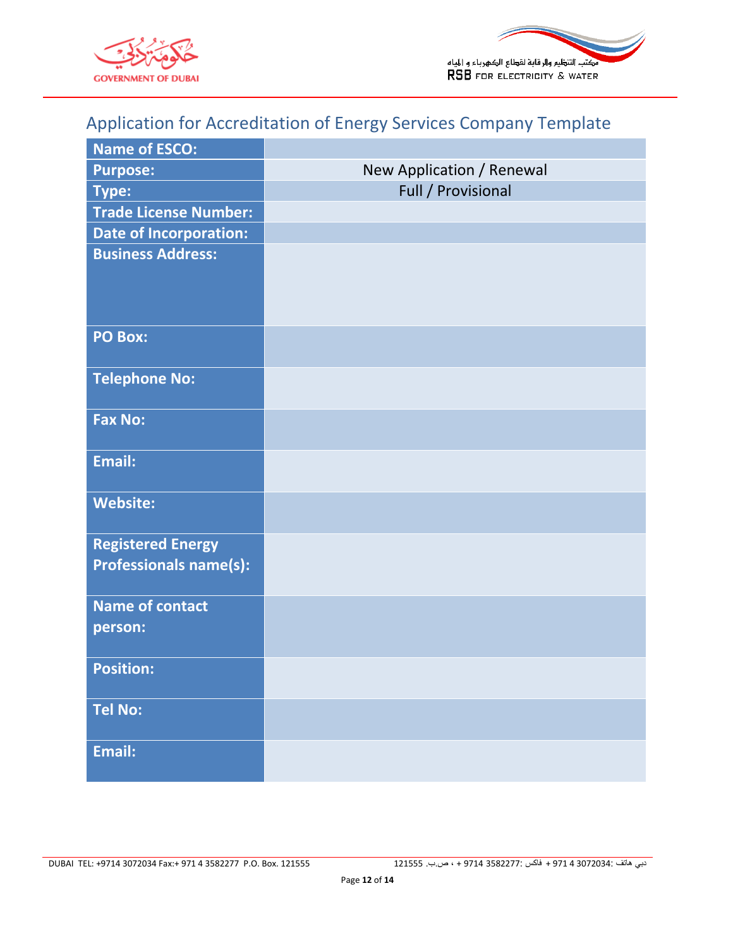



# Application for Accreditation of Energy Services Company Template

<span id="page-11-0"></span>

| <b>Name of ESCO:</b>                                      |                           |
|-----------------------------------------------------------|---------------------------|
| <b>Purpose:</b>                                           | New Application / Renewal |
| <b>Type:</b>                                              | Full / Provisional        |
| <b>Trade License Number:</b>                              |                           |
| <b>Date of Incorporation:</b>                             |                           |
| <b>Business Address:</b>                                  |                           |
| <b>PO Box:</b>                                            |                           |
| <b>Telephone No:</b>                                      |                           |
| <b>Fax No:</b>                                            |                           |
| Email:                                                    |                           |
| <b>Website:</b>                                           |                           |
| <b>Registered Energy</b><br><b>Professionals name(s):</b> |                           |
| <b>Name of contact</b><br>person:                         |                           |
| <b>Position:</b>                                          |                           |
| <b>Tel No:</b>                                            |                           |
| Email:                                                    |                           |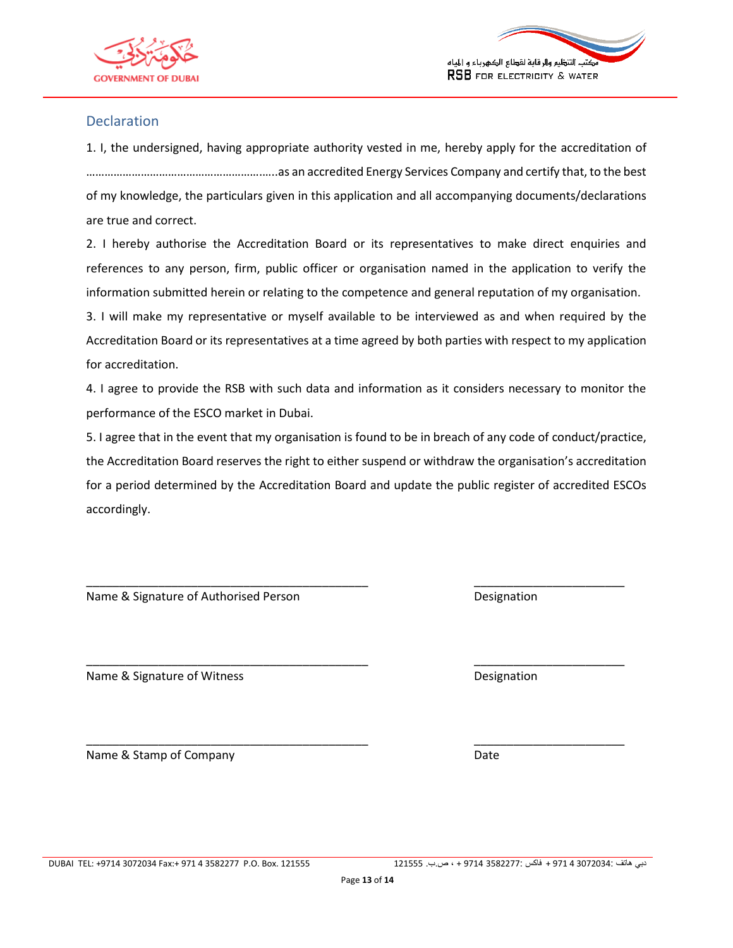



#### Declaration

<span id="page-12-0"></span>1. I, the undersigned, having appropriate authority vested in me, hereby apply for the accreditation of ………………………………………………….…..as an accredited Energy Services Company and certify that, to the best of my knowledge, the particulars given in this application and all accompanying documents/declarations are true and correct.

2. I hereby authorise the Accreditation Board or its representatives to make direct enquiries and references to any person, firm, public officer or organisation named in the application to verify the information submitted herein or relating to the competence and general reputation of my organisation.

3. I will make my representative or myself available to be interviewed as and when required by the Accreditation Board or its representatives at a time agreed by both parties with respect to my application for accreditation.

4. I agree to provide the RSB with such data and information as it considers necessary to monitor the performance of the ESCO market in Dubai.

5. I agree that in the event that my organisation is found to be in breach of any code of conduct/practice, the Accreditation Board reserves the right to either suspend or withdraw the organisation's accreditation for a period determined by the Accreditation Board and update the public register of accredited ESCOs accordingly.

\_\_\_\_\_\_\_\_\_\_\_\_\_\_\_\_\_\_\_\_\_\_\_\_\_\_\_\_\_\_\_\_\_\_\_\_\_\_\_\_\_\_\_ \_\_\_\_\_\_\_\_\_\_\_\_\_\_\_\_\_\_\_\_\_\_\_

\_\_\_\_\_\_\_\_\_\_\_\_\_\_\_\_\_\_\_\_\_\_\_\_\_\_\_\_\_\_\_\_\_\_\_\_\_\_\_\_\_\_\_ \_\_\_\_\_\_\_\_\_\_\_\_\_\_\_\_\_\_\_\_\_\_\_

\_\_\_\_\_\_\_\_\_\_\_\_\_\_\_\_\_\_\_\_\_\_\_\_\_\_\_\_\_\_\_\_\_\_\_\_\_\_\_\_\_\_\_ \_\_\_\_\_\_\_\_\_\_\_\_\_\_\_\_\_\_\_\_\_\_\_

Name & Signature of Authorised Person Designation

Name & Signature of Witness **Designation** Designation

Name & Stamp of Company Date by Date Date and Date Date

DUBAI TEL: +9714 3072034 Fax:+ 971 4 3582277 P.O. Box. 121555 121555 .ب.ص ، + 9714 3582277: فاكس + 971 4 3072034: هاتف دبي